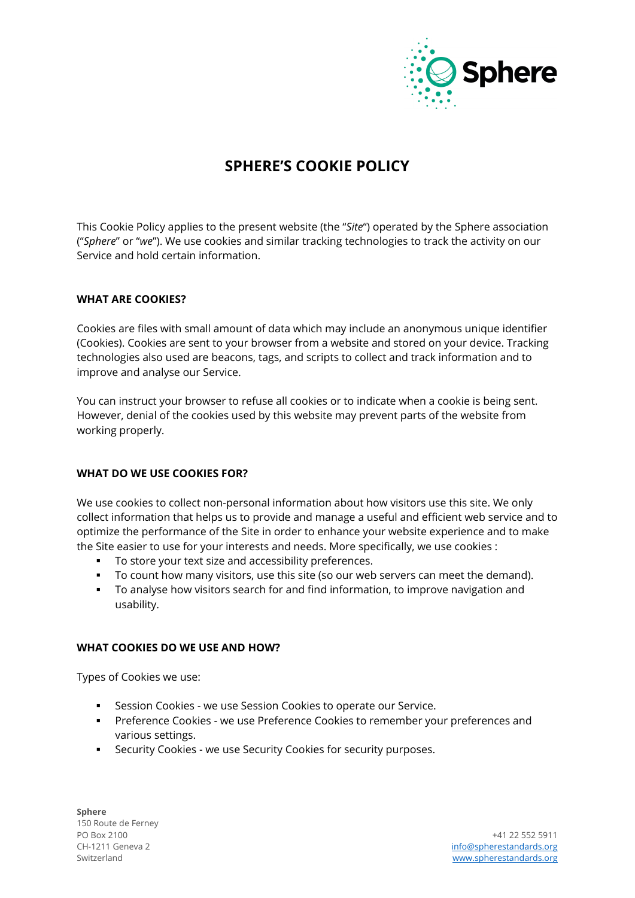

# **SPHERE'S COOKIE POLICY**

This Cookie Policy applies to the present website (the "*Site*") operated by the Sphere association ("*Sphere*" or "*we*"). We use cookies and similar tracking technologies to track the activity on our Service and hold certain information.

#### **WHAT ARE COOKIES?**

Cookies are files with small amount of data which may include an anonymous unique identifier (Cookies). Cookies are sent to your browser from a website and stored on your device. Tracking technologies also used are beacons, tags, and scripts to collect and track information and to improve and analyse our Service.

You can instruct your browser to refuse all cookies or to indicate when a cookie is being sent. However, denial of the cookies used by this website may prevent parts of the website from working properly.

# **WHAT DO WE USE COOKIES FOR?**

We use cookies to collect non-personal information about how visitors use this site. We only collect information that helps us to provide and manage a useful and efficient web service and to optimize the performance of the Site in order to enhance your website experience and to make the Site easier to use for your interests and needs. More specifically, we use cookies :

- To store your text size and accessibility preferences.
- To count how many visitors, use this site (so our web servers can meet the demand).
- To analyse how visitors search for and find information, to improve navigation and usability.

#### **WHAT COOKIES DO WE USE AND HOW?**

Types of Cookies we use:

- Session Cookies we use Session Cookies to operate our Service.
- Preference Cookies we use Preference Cookies to remember your preferences and various settings.
- Security Cookies we use Security Cookies for security purposes.

**Sphere** 150 Route de Ferney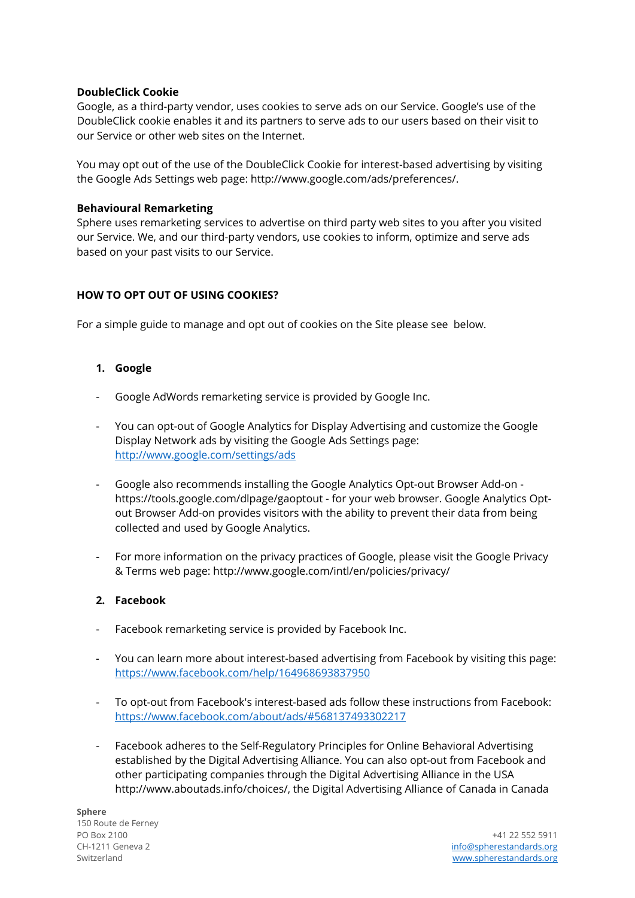# **DoubleClick Cookie**

Google, as a third-party vendor, uses cookies to serve ads on our Service. Google's use of the DoubleClick cookie enables it and its partners to serve ads to our users based on their visit to our Service or other web sites on the Internet.

You may opt out of the use of the DoubleClick Cookie for interest-based advertising by visiting the Google Ads Settings web page: http://www.google.com/ads/preferences/.

#### **Behavioural Remarketing**

Sphere uses remarketing services to advertise on third party web sites to you after you visited our Service. We, and our third-party vendors, use cookies to inform, optimize and serve ads based on your past visits to our Service.

# **HOW TO OPT OUT OF USING COOKIES?**

For a simple guide to manage and opt out of cookies on the Site please see below.

# **1. Google**

- Google AdWords remarketing service is provided by Google Inc.
- You can opt-out of Google Analytics for Display Advertising and customize the Google Display Network ads by visiting the Google Ads Settings page: <http://www.google.com/settings/ads>
- Google also recommends installing the Google Analytics Opt-out Browser Add-on https://tools.google.com/dlpage/gaoptout - for your web browser. Google Analytics Optout Browser Add-on provides visitors with the ability to prevent their data from being collected and used by Google Analytics.
- For more information on the privacy practices of Google, please visit the Google Privacy & Terms web page: http://www.google.com/intl/en/policies/privacy/

# **2. Facebook**

- Facebook remarketing service is provided by Facebook Inc.
- You can learn more about interest-based advertising from Facebook by visiting this page: <https://www.facebook.com/help/164968693837950>
- To opt-out from Facebook's interest-based ads follow these instructions from Facebook: <https://www.facebook.com/about/ads/#568137493302217>
- Facebook adheres to the Self-Regulatory Principles for Online Behavioral Advertising established by the Digital Advertising Alliance. You can also opt-out from Facebook and other participating companies through the Digital Advertising Alliance in the USA http://www.aboutads.info/choices/, the Digital Advertising Alliance of Canada in Canada